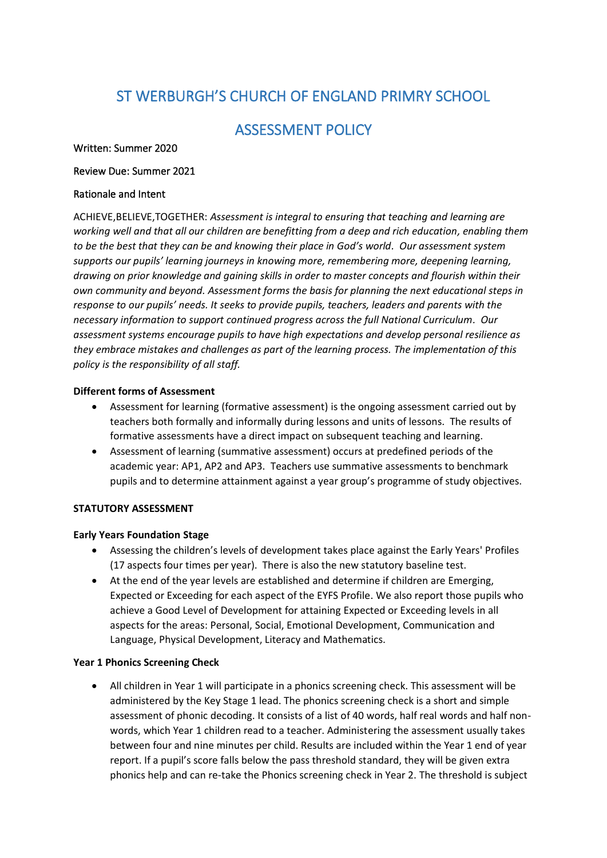# ST WERBURGH'S CHURCH OF ENGLAND PRIMRY SCHOOL

# ASSESSMENT POLICY

#### Written: Summer 2020

#### Review Due: Summer 2021

#### Rationale and Intent

ACHIEVE,BELIEVE,TOGETHER: *Assessment is integral to ensuring that teaching and learning are working well and that all our children are benefitting from a deep and rich education, enabling them to be the best that they can be and knowing their place in God's world. Our assessment system supports our pupils' learning journeys in knowing more, remembering more, deepening learning, drawing on prior knowledge and gaining skills in order to master concepts and flourish within their own community and beyond. Assessment forms the basis for planning the next educational steps in response to our pupils' needs. It seeks to provide pupils, teachers, leaders and parents with the necessary information to support continued progress across the full National Curriculum. Our assessment systems encourage pupils to have high expectations and develop personal resilience as they embrace mistakes and challenges as part of the learning process. The implementation of this policy is the responsibility of all staff.*

#### **Different forms of Assessment**

- Assessment for learning (formative assessment) is the ongoing assessment carried out by teachers both formally and informally during lessons and units of lessons. The results of formative assessments have a direct impact on subsequent teaching and learning.
- Assessment of learning (summative assessment) occurs at predefined periods of the academic year: AP1, AP2 and AP3. Teachers use summative assessments to benchmark pupils and to determine attainment against a year group's programme of study objectives.

# **STATUTORY ASSESSMENT**

#### **Early Years Foundation Stage**

- Assessing the children's levels of development takes place against the Early Years' Profiles (17 aspects four times per year). There is also the new statutory baseline test.
- At the end of the year levels are established and determine if children are Emerging, Expected or Exceeding for each aspect of the EYFS Profile. We also report those pupils who achieve a Good Level of Development for attaining Expected or Exceeding levels in all aspects for the areas: Personal, Social, Emotional Development, Communication and Language, Physical Development, Literacy and Mathematics.

#### **Year 1 Phonics Screening Check**

• All children in Year 1 will participate in a phonics screening check. This assessment will be administered by the Key Stage 1 lead. The phonics screening check is a short and simple assessment of phonic decoding. It consists of a list of 40 words, half real words and half nonwords, which Year 1 children read to a teacher. Administering the assessment usually takes between four and nine minutes per child. Results are included within the Year 1 end of year report. If a pupil's score falls below the pass threshold standard, they will be given extra phonics help and can re-take the Phonics screening check in Year 2. The threshold is subject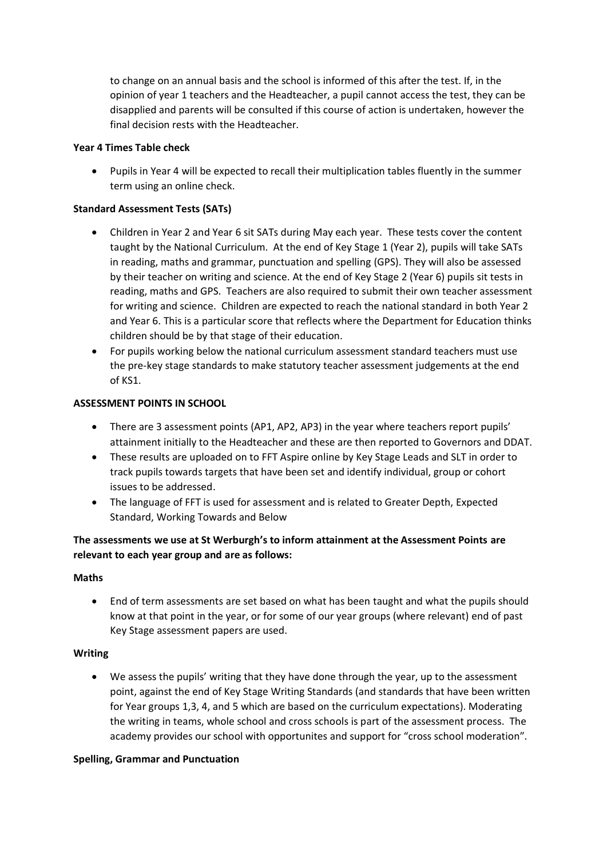to change on an annual basis and the school is informed of this after the test. If, in the opinion of year 1 teachers and the Headteacher, a pupil cannot access the test, they can be disapplied and parents will be consulted if this course of action is undertaken, however the final decision rests with the Headteacher.

#### **Year 4 Times Table check**

• Pupils in Year 4 will be expected to recall their multiplication tables fluently in the summer term using an online check.

#### **Standard Assessment Tests (SATs)**

- Children in Year 2 and Year 6 sit SATs during May each year. These tests cover the content taught by the National Curriculum. At the end of Key Stage 1 (Year 2), pupils will take SATs in reading, maths and grammar, punctuation and spelling (GPS). They will also be assessed by their teacher on writing and science. At the end of Key Stage 2 (Year 6) pupils sit tests in reading, maths and GPS. Teachers are also required to submit their own teacher assessment for writing and science. Children are expected to reach the national standard in both Year 2 and Year 6. This is a particular score that reflects where the Department for Education thinks children should be by that stage of their education.
- For pupils working below the national curriculum assessment standard teachers must use the pre-key stage standards to make statutory teacher assessment judgements at the end of KS1.

# **ASSESSMENT POINTS IN SCHOOL**

- There are 3 assessment points (AP1, AP2, AP3) in the year where teachers report pupils' attainment initially to the Headteacher and these are then reported to Governors and DDAT.
- These results are uploaded on to FFT Aspire online by Key Stage Leads and SLT in order to track pupils towards targets that have been set and identify individual, group or cohort issues to be addressed.
- The language of FFT is used for assessment and is related to Greater Depth, Expected Standard, Working Towards and Below

# **The assessments we use at St Werburgh's to inform attainment at the Assessment Points are relevant to each year group and are as follows:**

#### **Maths**

• End of term assessments are set based on what has been taught and what the pupils should know at that point in the year, or for some of our year groups (where relevant) end of past Key Stage assessment papers are used.

#### **Writing**

• We assess the pupils' writing that they have done through the year, up to the assessment point, against the end of Key Stage Writing Standards (and standards that have been written for Year groups 1,3, 4, and 5 which are based on the curriculum expectations). Moderating the writing in teams, whole school and cross schools is part of the assessment process. The academy provides our school with opportunites and support for "cross school moderation".

#### **Spelling, Grammar and Punctuation**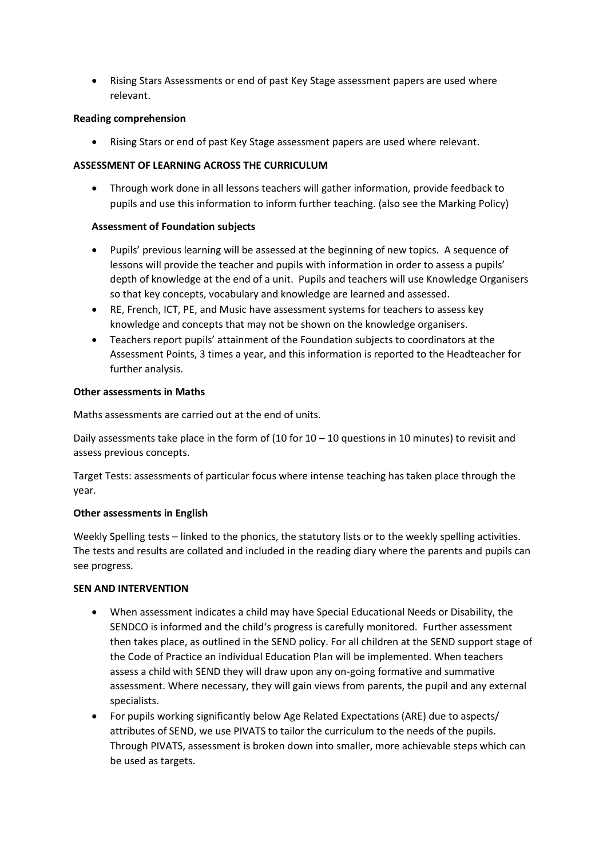• Rising Stars Assessments or end of past Key Stage assessment papers are used where relevant.

#### **Reading comprehension**

• Rising Stars or end of past Key Stage assessment papers are used where relevant.

# **ASSESSMENT OF LEARNING ACROSS THE CURRICULUM**

• Through work done in all lessons teachers will gather information, provide feedback to pupils and use this information to inform further teaching. (also see the Marking Policy)

# **Assessment of Foundation subjects**

- Pupils' previous learning will be assessed at the beginning of new topics. A sequence of lessons will provide the teacher and pupils with information in order to assess a pupils' depth of knowledge at the end of a unit. Pupils and teachers will use Knowledge Organisers so that key concepts, vocabulary and knowledge are learned and assessed.
- RE, French, ICT, PE, and Music have assessment systems for teachers to assess key knowledge and concepts that may not be shown on the knowledge organisers.
- Teachers report pupils' attainment of the Foundation subjects to coordinators at the Assessment Points, 3 times a year, and this information is reported to the Headteacher for further analysis.

#### **Other assessments in Maths**

Maths assessments are carried out at the end of units.

Daily assessments take place in the form of (10 for  $10 - 10$  questions in 10 minutes) to revisit and assess previous concepts.

Target Tests: assessments of particular focus where intense teaching has taken place through the year.

# **Other assessments in English**

Weekly Spelling tests – linked to the phonics, the statutory lists or to the weekly spelling activities. The tests and results are collated and included in the reading diary where the parents and pupils can see progress.

# **SEN AND INTERVENTION**

- When assessment indicates a child may have Special Educational Needs or Disability, the SENDCO is informed and the child's progress is carefully monitored. Further assessment then takes place, as outlined in the SEND policy. For all children at the SEND support stage of the Code of Practice an individual Education Plan will be implemented. When teachers assess a child with SEND they will draw upon any on-going formative and summative assessment. Where necessary, they will gain views from parents, the pupil and any external specialists.
- For pupils working significantly below Age Related Expectations (ARE) due to aspects/ attributes of SEND, we use PIVATS to tailor the curriculum to the needs of the pupils. Through PIVATS, assessment is broken down into smaller, more achievable steps which can be used as targets.